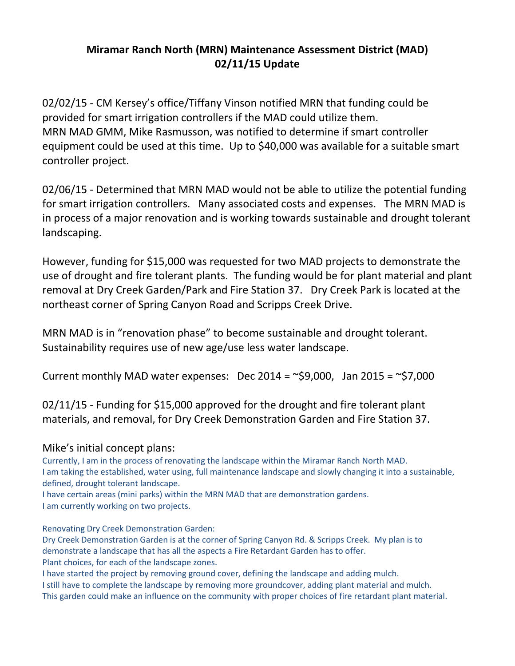## Miramar Ranch North (MRN) Maintenance Assessment District (MAD) 02/11/15 Update

02/02/15 - CM Kersey's office/Tiffany Vinson notified MRN that funding could be provided for smart irrigation controllers if the MAD could utilize them. MRN MAD GMM, Mike Rasmusson, was notified to determine if smart controller equipment could be used at this time. Up to \$40,000 was available for a suitable smart controller project.

02/06/15 - Determined that MRN MAD would not be able to utilize the potential funding for smart irrigation controllers. Many associated costs and expenses. The MRN MAD is in process of a major renovation and is working towards sustainable and drought tolerant landscaping.

However, funding for \$15,000 was requested for two MAD projects to demonstrate the use of drought and fire tolerant plants. The funding would be for plant material and plant removal at Dry Creek Garden/Park and Fire Station 37. Dry Creek Park is located at the northeast corner of Spring Canyon Road and Scripps Creek Drive.

MRN MAD is in "renovation phase" to become sustainable and drought tolerant. Sustainability requires use of new age/use less water landscape.

Current monthly MAD water expenses: Dec 2014 =  $\sim$ \$9,000, Jan 2015 =  $\sim$ \$7,000

02/11/15 - Funding for \$15,000 approved for the drought and fire tolerant plant materials, and removal, for Dry Creek Demonstration Garden and Fire Station 37.

## Mike's initial concept plans:

Currently, I am in the process of renovating the landscape within the Miramar Ranch North MAD. I am taking the established, water using, full maintenance landscape and slowly changing it into a sustainable, defined, drought tolerant landscape.

I have certain areas (mini parks) within the MRN MAD that are demonstration gardens. I am currently working on two projects.

Renovating Dry Creek Demonstration Garden:

Dry Creek Demonstration Garden is at the corner of Spring Canyon Rd. & Scripps Creek. My plan is to demonstrate a landscape that has all the aspects a Fire Retardant Garden has to offer. Plant choices, for each of the landscape zones.

I have started the project by removing ground cover, defining the landscape and adding mulch.

I still have to complete the landscape by removing more groundcover, adding plant material and mulch. This garden could make an influence on the community with proper choices of fire retardant plant material.